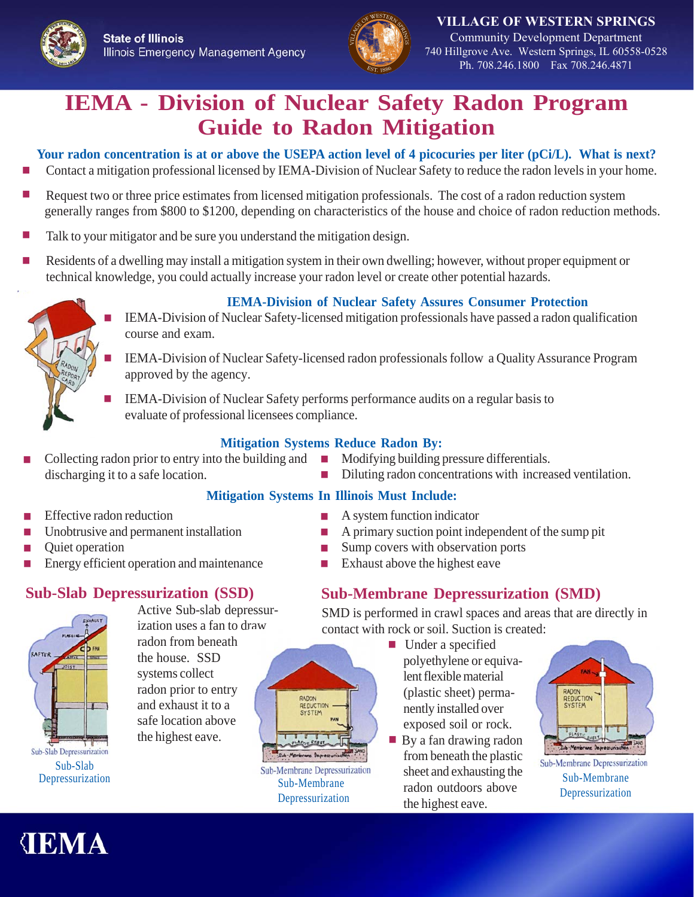

**VILLAGE OF WESTERN SPRINGS** Community Development Department 740 Hillgrove Ave. Western Springs, IL 60558-0528 Ph. 708.246.1800 Fax 708.246.4871

# **IEMA - Division of Nuclear Safety Radon Program Guide to Radon Mitigation**

**Your radon concentration is at or above the USEPA action level of 4 picocuries per liter (pCi/L). What is next?**

- Contact a mitigation professional licensed by IEMA-Division of Nuclear Safety to reduce the radon levels in your home.
- Request two or three price estimates from licensed mitigation professionals. The cost of a radon reduction system generally ranges from \$800 to \$1200, depending on characteristics of the house and choice of radon reduction methods.
- Talk to your mitigator and be sure you understand the mitigation design.
- Residents of a dwelling may install a mitigation system in their own dwelling; however, without proper equipment or technical knowledge, you could actually increase your radon level or create other potential hazards.



#### **IEMA-Division of Nuclear Safety Assures Consumer Protection**

- IEMA-Division of Nuclear Safety-licensed mitigation professionals have passed a radon qualification course and exam.
- <sup>J</sup> IEMA-Division of Nuclear Safety-licensed radon professionals follow a Quality Assurance Program approved by the agency.
- IEMA-Division of Nuclear Safety performs performance audits on a regular basis to evaluate of professional licensees compliance.

#### **Mitigation Systems Reduce Radon By:**

- Collecting radon prior to entry into the building and discharging it to a safe location.
- **Nodifying building pressure differentials.**

A system function indicator

 $\blacksquare$  Sump covers with observation ports  $\blacksquare$  Exhaust above the highest eave

Diluting radon concentrations with increased ventilation.

A primary suction point independent of the sump pit

#### **Mitigation Systems In Illinois Must Include:**

- Effective radon reduction
- Unobtrusive and permanent installation
- Quiet operation
- Energy efficient operation and maintenance

# **Sub-Slab Depressurization (SSD)**



Active Sub-slab depressurization uses a fan to draw radon from beneath the house. SSD systems collect radon prior to entry and exhaust it to a safe location above the highest eave.



Sub-Membrane Depressurization  $\blacksquare$  Under a specified polyethylene or equivalent flexible material (plastic sheet) permanently installed over

**Sub-Membrane Depressurization (SMD)**

SMD is performed in crawl spaces and areas that are directly in

exposed soil or rock.  $\blacksquare$  By a fan drawing radon from beneath the plastic sheet and exhausting the radon outdoors above the highest eave.



Sub-Membrane Depressurization Sub-Membrane Depressurization